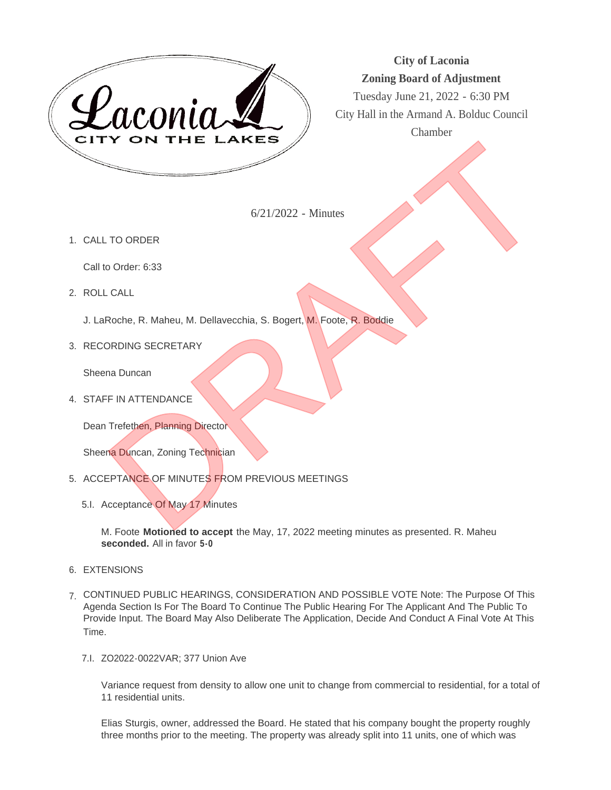

**City of Laconia Zoning Board of Adjustment**

Tuesday June 21, 2022 - 6:30 PM City Hall in the Armand A. Bolduc Council Chamber

6/21/2022 - Minutes

1. CALL TO ORDER

Call to Order: 6:33

ROLL CALL 2.

J. LaRoche, R. Maheu, M. Dellavecchia, S. Bogert, M. Foote, R. Boddie

3. RECORDING SECRETARY

Sheena Duncan

4. STAFF IN ATTENDANCE

Dean Trefethen, Planning Director

Sheena Duncan, Zoning Technician

- 5. ACCEPTANCE OF MINUTES FROM PREVIOUS MEETINGS
	- 5.I. Acceptance Of May 17 Minutes

M. Foote **Motioned to accept** the May, 17, 2022 meeting minutes as presented. R. Maheu **seconded.** All in favor **5-0**

- 6. EXTENSIONS
- CONTINUED PUBLIC HEARINGS, CONSIDERATION AND POSSIBLE VOTE Note: The Purpose Of This 7. Agenda Section Is For The Board To Continue The Public Hearing For The Applicant And The Public To Provide Input. The Board May Also Deliberate The Application, Decide And Conduct A Final Vote At This Time.
	- 7.I. ZO2022-0022VAR; 377 Union Ave

Variance request from density to allow one unit to change from commercial to residential, for a total of 11 residential units.

Elias Sturgis, owner, addressed the Board. He stated that his company bought the property roughly three months prior to the meeting. The property was already split into 11 units, one of which was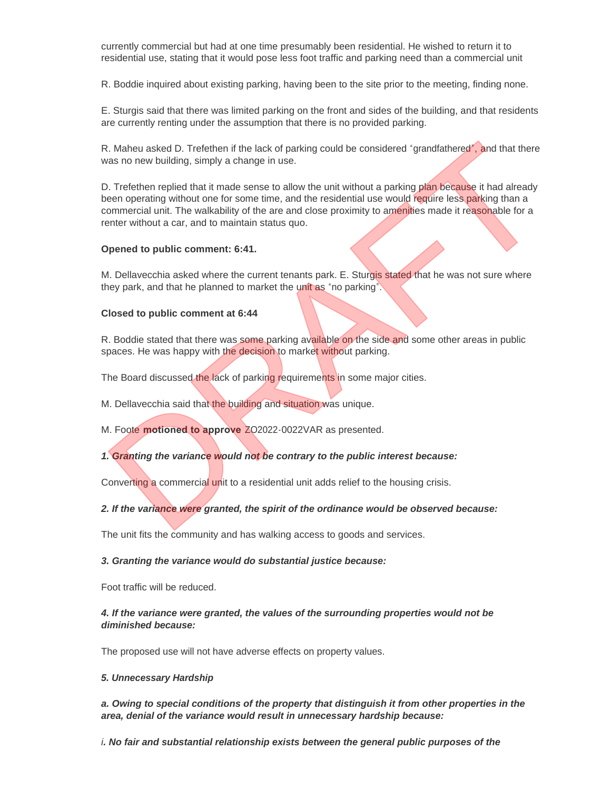currently commercial but had at one time presumably been residential. He wished to return it to residential use, stating that it would pose less foot traffic and parking need than a commercial unit

R. Boddie inquired about existing parking, having been to the site prior to the meeting, finding none.

E. Sturgis said that there was limited parking on the front and sides of the building, and that residents are currently renting under the assumption that there is no provided parking.

R. Maheu asked D. Trefethen if the lack of parking could be considered "grandfathered", and that there was no new building, simply a change in use.

D. Trefethen replied that it made sense to allow the unit without a parking plan because it had already been operating without one for some time, and the residential use would require less parking than a commercial unit. The walkability of the are and close proximity to amenities made it reasonable for a renter without a car, and to maintain status quo. R. Maheu asked D. Trefethen if the lack of parking could be considered 'grandfathered', and that there was no new building, simply a change in use.<br>
D. Trefethen replied that it made sense to callow the unit without a park

#### **Opened to public comment: 6:41.**

M. Dellavecchia asked where the current tenants park. E. Sturgis stated that he was not sure where they park, and that he planned to market the unit as "no parking".

#### **Closed to public comment at 6:44**

R. Boddie stated that there was some parking available on the side and some other areas in public spaces. He was happy with the decision to market without parking.

The Board discussed the lack of parking requirements in some major cities.

M. Dellavecchia said that the building and situation was unique.

M. Foote **motioned to approve** ZO2022-0022VAR as presented.

*1. Granting the variance would not be contrary to the public interest because:*

Converting a commercial unit to a residential unit adds relief to the housing crisis.

# *2. If the variance were granted, the spirit of the ordinance would be observed because:*

The unit fits the community and has walking access to goods and services.

#### *3. Granting the variance would do substantial justice because:*

Foot traffic will be reduced.

# *4. If the variance were granted, the values of the surrounding properties would not be diminished because:*

The proposed use will not have adverse effects on property values.

#### *5. Unnecessary Hardship*

*a. Owing to special conditions of the property that distinguish it from other properties in the area, denial of the variance would result in unnecessary hardship because:*

*i. No fair and substantial relationship exists between the general public purposes of the*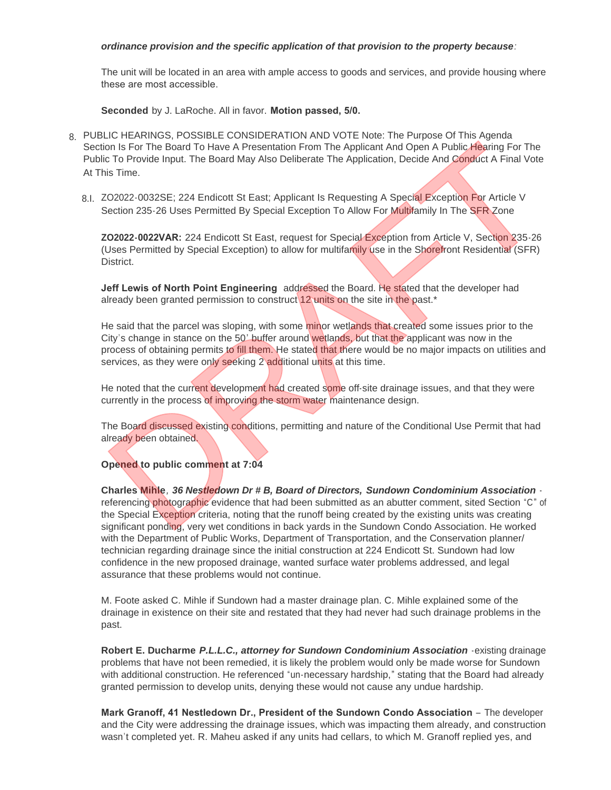### *ordinance provision and the specific application of that provision to the property because:*

The unit will be located in an area with ample access to goods and services, and provide housing where these are most accessible.

**Seconded** by J. LaRoche. All in favor. **Motion passed, 5/0.** 

- PUBLIC HEARINGS, POSSIBLE CONSIDERATION AND VOTE Note: The Purpose Of This Agenda 8. Section Is For The Board To Have A Presentation From The Applicant And Open A Public Hearing For The Public To Provide Input. The Board May Also Deliberate The Application, Decide And Conduct A Final Vote At This Time.
	- 8.I. ZO2022-0032SE; 224 Endicott St East; Applicant Is Requesting A Special Exception For Article V Section 235-26 Uses Permitted By Special Exception To Allow For Multifamily In The SFR Zone

**ZO2022-0022VAR:** 224 Endicott St East, request for Special Exception from Article V, Section 235-26 (Uses Permitted by Special Exception) to allow for multifamily use in the Shorefront Residential (SFR) District.

**Jeff Lewis of North Point Engineering** addressed the Board. He stated that the developer had already been granted permission to construct 12 units on the site in the past.<sup>\*</sup>

He said that the parcel was sloping, with some minor wetlands that created some issues prior to the City's change in stance on the 50' buffer around wetlands, but that the applicant was now in the process of obtaining permits to fill them. He stated that there would be no major impacts on utilities and services, as they were only seeking 2 additional units at this time. For three Dotations The Data Presentation From The Applicant And Open A Public Hearing For The Board To Have A Presentation From The Applicant And Open A Public Hearing For The Board To Have A Presentation From The Applica

He noted that the current development had created some off-site drainage issues, and that they were currently in the process of improving the storm water maintenance design.

The Board discussed existing conditions, permitting and nature of the Conditional Use Permit that had already been obtained.

# **Opened to public comment at 7:04**

**Charles Mihle***, 36 Nestledown Dr # B, Board of Directors, Sundown Condominium Association* referencing photographic evidence that had been submitted as an abutter comment, sited Section "C" of the Special Exception criteria, noting that the runoff being created by the existing units was creating significant ponding, very wet conditions in back yards in the Sundown Condo Association. He worked with the Department of Public Works, Department of Transportation, and the Conservation planner/ technician regarding drainage since the initial construction at 224 Endicott St. Sundown had low confidence in the new proposed drainage, wanted surface water problems addressed, and legal assurance that these problems would not continue.

M. Foote asked C. Mihle if Sundown had a master drainage plan. C. Mihle explained some of the drainage in existence on their site and restated that they had never had such drainage problems in the past.

**Robert E. Ducharme** *P.L.L.C., attorney for Sundown Condominium Association* -existing drainage problems that have not been remedied, it is likely the problem would only be made worse for Sundown with additional construction. He referenced "un-necessary hardship," stating that the Board had already granted permission to develop units, denying these would not cause any undue hardship.

Mark Granoff, 41 Nestledown Dr., President of the Sundown Condo Association - The developer and the City were addressing the drainage issues, which was impacting them already, and construction wasn't completed yet. R. Maheu asked if any units had cellars, to which M. Granoff replied yes, and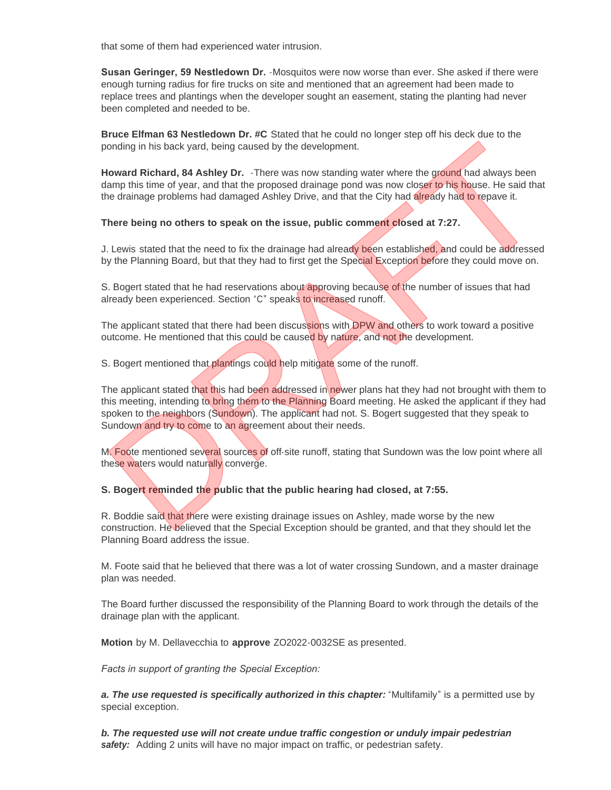that some of them had experienced water intrusion.

**Susan Geringer, 59 Nestledown Dr.** -Mosquitos were now worse than ever. She asked if there were enough turning radius for fire trucks on site and mentioned that an agreement had been made to replace trees and plantings when the developer sought an easement, stating the planting had never been completed and needed to be.

**Bruce Elfman 63 Nestledown Dr. #C** Stated that he could no longer step off his deck due to the ponding in his back yard, being caused by the development.

**Howard Richard, 84 Ashley Dr.** -There was now standing water where the ground had always been damp this time of year, and that the proposed drainage pond was now closer to his house. He said that the drainage problems had damaged Ashley Drive, and that the City had already had to repave it.

**There being no others to speak on the issue, public comment closed at 7:27.**

J. Lewis stated that the need to fix the drainage had already been established, and could be addressed by the Planning Board, but that they had to first get the Special Exception before they could move on.

S. Bogert stated that he had reservations about approving because of the number of issues that had already been experienced. Section "C" speaks to increased runoff.

The applicant stated that there had been discussions with DPW and others to work toward a positive outcome. He mentioned that this could be caused by nature, and not the development.

S. Bogert mentioned that plantings could help mitigate some of the runoff.

The applicant stated that this had been addressed in newer plans hat they had not brought with them to this meeting, intending to bring them to the Planning Board meeting. He asked the applicant if they had spoken to the neighbors (Sundown). The applicant had not. S. Bogert suggested that they speak to Sundown and try to come to an agreement about their needs. nording in his back yard, being caused by the development.<br>
Howard Richard, 84 Ashley Dr. - There was now standing water where the ground had always been<br>
large methis time of year, and that the proposed drainage pord was

M. Foote mentioned several sources of off-site runoff, stating that Sundown was the low point where all these waters would naturally converge.

# **S. Bogert reminded the public that the public hearing had closed, at 7:55.**

R. Boddie said that there were existing drainage issues on Ashley, made worse by the new construction. He believed that the Special Exception should be granted, and that they should let the Planning Board address the issue.

M. Foote said that he believed that there was a lot of water crossing Sundown, and a master drainage plan was needed.

The Board further discussed the responsibility of the Planning Board to work through the details of the drainage plan with the applicant.

**Motion** by M. Dellavecchia to **approve** ZO2022-0032SE as presented.

*Facts in support of granting the Special Exception:* 

*a. The use requested is specifically authorized in this chapter:* "Multifamily" is a permitted use by special exception.

*b. The requested use will not create undue traffic congestion or unduly impair pedestrian safety:* Adding 2 units will have no major impact on traffic, or pedestrian safety.